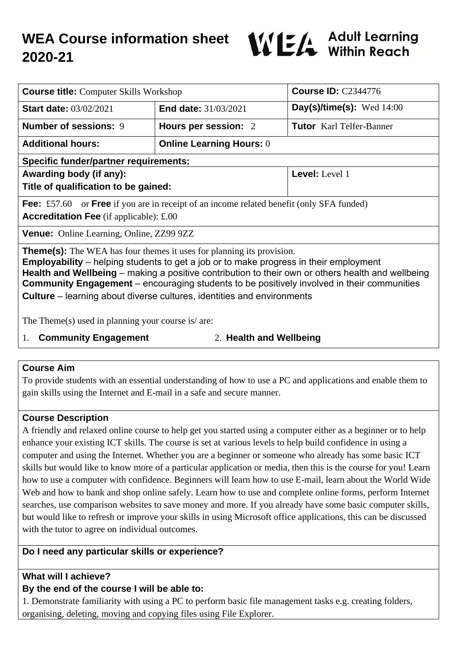

| <b>Course title:</b> Computer Skills Workshop                                                                                                                                                                                                                                                                                                                                                                                                                           |                                 | <b>Course ID: C2344776</b>      |
|-------------------------------------------------------------------------------------------------------------------------------------------------------------------------------------------------------------------------------------------------------------------------------------------------------------------------------------------------------------------------------------------------------------------------------------------------------------------------|---------------------------------|---------------------------------|
| <b>Start date: 03/02/2021</b>                                                                                                                                                                                                                                                                                                                                                                                                                                           | <b>End date: 31/03/2021</b>     | Day(s)/time(s): Wed $14:00$     |
| <b>Number of sessions: 9</b>                                                                                                                                                                                                                                                                                                                                                                                                                                            | Hours per session: 2            | <b>Tutor</b> Karl Telfer-Banner |
| <b>Additional hours:</b>                                                                                                                                                                                                                                                                                                                                                                                                                                                | <b>Online Learning Hours: 0</b> |                                 |
| <b>Specific funder/partner requirements:</b>                                                                                                                                                                                                                                                                                                                                                                                                                            |                                 |                                 |
| Awarding body (if any):                                                                                                                                                                                                                                                                                                                                                                                                                                                 |                                 | Level: Level 1                  |
| Title of qualification to be gained:                                                                                                                                                                                                                                                                                                                                                                                                                                    |                                 |                                 |
| <b>Fee:</b> £57.60 or <b>Free</b> if you are in receipt of an income related benefit (only SFA funded)<br><b>Accreditation Fee</b> (if applicable): $\pounds 00$                                                                                                                                                                                                                                                                                                        |                                 |                                 |
| <b>Venue:</b> Online Learning, Online, ZZ99 9ZZ                                                                                                                                                                                                                                                                                                                                                                                                                         |                                 |                                 |
| <b>Theme(s):</b> The WEA has four themes it uses for planning its provision.<br><b>Employability</b> – helping students to get a job or to make progress in their employment<br>Health and Wellbeing – making a positive contribution to their own or others health and wellbeing<br><b>Community Engagement</b> – encouraging students to be positively involved in their communities<br><b>Culture</b> – learning about diverse cultures, identities and environments |                                 |                                 |
| The Theme(s) used in planning your course is $\alpha$ are:                                                                                                                                                                                                                                                                                                                                                                                                              |                                 |                                 |

1. **Community Engagement** 2. **Health and Wellbeing**

#### **Course Aim**

To provide students with an essential understanding of how to use a PC and applications and enable them to gain skills using the Internet and E-mail in a safe and secure manner.

## **Course Description**

A friendly and relaxed online course to help get you started using a computer either as a beginner or to help enhance your existing ICT skills. The course is set at various levels to help build confidence in using a computer and using the Internet. Whether you are a beginner or someone who already has some basic ICT skills but would like to know more of a particular application or media, then this is the course for you! Learn how to use a computer with confidence. Beginners will learn how to use E-mail, learn about the World Wide Web and how to bank and shop online safely. Learn how to use and complete online forms, perform Internet searches, use comparison websites to save money and more. If you already have some basic computer skills, but would like to refresh or improve your skills in using Microsoft office applications, this can be discussed with the tutor to agree on individual outcomes.

## **Do I need any particular skills or experience?**

## **What will I achieve?**

#### **By the end of the course I will be able to:**

1. Demonstrate familiarity with using a PC to perform basic file management tasks e.g. creating folders, organising, deleting, moving and copying files using File Explorer.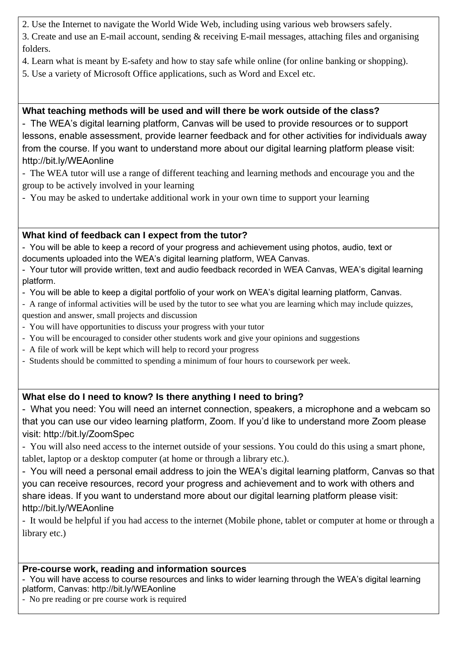2. Use the Internet to navigate the World Wide Web, including using various web browsers safely.

3. Create and use an E-mail account, sending & receiving E-mail messages, attaching files and organising folders.

- 4. Learn what is meant by E-safety and how to stay safe while online (for online banking or shopping).
- 5. Use a variety of Microsoft Office applications, such as Word and Excel etc.

# **What teaching methods will be used and will there be work outside of the class?**

- The WEA's digital learning platform, Canvas will be used to provide resources or to support lessons, enable assessment, provide learner feedback and for other activities for individuals away from the course. If you want to understand more about our digital learning platform please visit: http://bit.ly/WEAonline

- The WEA tutor will use a range of different teaching and learning methods and encourage you and the group to be actively involved in your learning

- You may be asked to undertake additional work in your own time to support your learning

# **What kind of feedback can I expect from the tutor?**

- You will be able to keep a record of your progress and achievement using photos, audio, text or documents uploaded into the WEA's digital learning platform, WEA Canvas.

- Your tutor will provide written, text and audio feedback recorded in WEA Canvas, WEA's digital learning platform.

- You will be able to keep a digital portfolio of your work on WEA's digital learning platform, Canvas.
- A range of informal activities will be used by the tutor to see what you are learning which may include quizzes,
- question and answer, small projects and discussion
- You will have opportunities to discuss your progress with your tutor
- You will be encouraged to consider other students work and give your opinions and suggestions
- A file of work will be kept which will help to record your progress
- Students should be committed to spending a minimum of four hours to coursework per week.

# **What else do I need to know? Is there anything I need to bring?**

- What you need: You will need an internet connection, speakers, a microphone and a webcam so that you can use our video learning platform, Zoom. If you'd like to understand more Zoom please visit: http://bit.ly/ZoomSpec

- You will also need access to the internet outside of your sessions. You could do this using a smart phone, tablet, laptop or a desktop computer (at home or through a library etc.).

- You will need a personal email address to join the WEA's digital learning platform, Canvas so that you can receive resources, record your progress and achievement and to work with others and share ideas. If you want to understand more about our digital learning platform please visit: http://bit.ly/WEAonline

- It would be helpful if you had access to the internet (Mobile phone, tablet or computer at home or through a library etc.)

## **Pre-course work, reading and information sources**

- You will have access to course resources and links to wider learning through the WEA's digital learning platform, Canvas: http://bit.ly/WEAonline

- No pre reading or pre course work is required